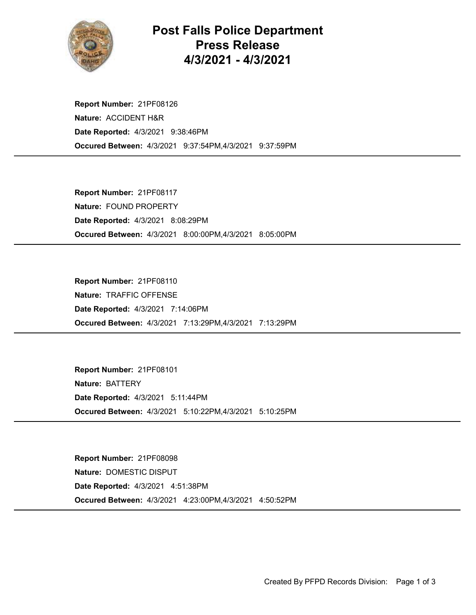

## Post Falls Police Department Press Release 4/3/2021 - 4/3/2021

Occured Between: 4/3/2021 9:37:54PM,4/3/2021 9:37:59PM Report Number: 21PF08126 Nature: ACCIDENT H&R Date Reported: 4/3/2021 9:38:46PM

Occured Between: 4/3/2021 8:00:00PM,4/3/2021 8:05:00PM Report Number: 21PF08117 Nature: FOUND PROPERTY Date Reported: 4/3/2021 8:08:29PM

Occured Between: 4/3/2021 7:13:29PM,4/3/2021 7:13:29PM Report Number: 21PF08110 Nature: TRAFFIC OFFENSE Date Reported: 4/3/2021 7:14:06PM

Occured Between: 4/3/2021 5:10:22PM,4/3/2021 5:10:25PM Report Number: 21PF08101 Nature: BATTERY Date Reported: 4/3/2021 5:11:44PM

Occured Between: 4/3/2021 4:23:00PM,4/3/2021 4:50:52PM Report Number: 21PF08098 Nature: DOMESTIC DISPUT Date Reported: 4/3/2021 4:51:38PM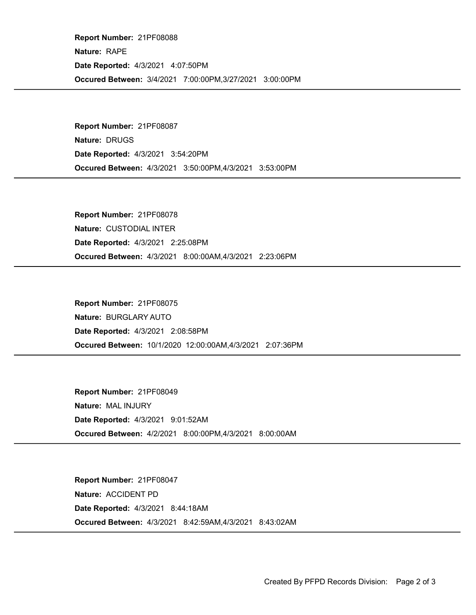Occured Between: 3/4/2021 7:00:00PM,3/27/2021 3:00:00PM Report Number: 21PF08088 Nature: RAPE Date Reported: 4/3/2021 4:07:50PM

Occured Between: 4/3/2021 3:50:00PM,4/3/2021 3:53:00PM Report Number: 21PF08087 Nature: DRUGS Date Reported: 4/3/2021 3:54:20PM

Occured Between: 4/3/2021 8:00:00AM,4/3/2021 2:23:06PM Report Number: 21PF08078 Nature: CUSTODIAL INTER Date Reported: 4/3/2021 2:25:08PM

Occured Between: 10/1/2020 12:00:00AM,4/3/2021 2:07:36PM Report Number: 21PF08075 Nature: BURGLARY AUTO Date Reported: 4/3/2021 2:08:58PM

Occured Between: 4/2/2021 8:00:00PM,4/3/2021 8:00:00AM Report Number: 21PF08049 Nature: MAL INJURY Date Reported: 4/3/2021 9:01:52AM

Occured Between: 4/3/2021 8:42:59AM,4/3/2021 8:43:02AM Report Number: 21PF08047 Nature: ACCIDENT PD Date Reported: 4/3/2021 8:44:18AM